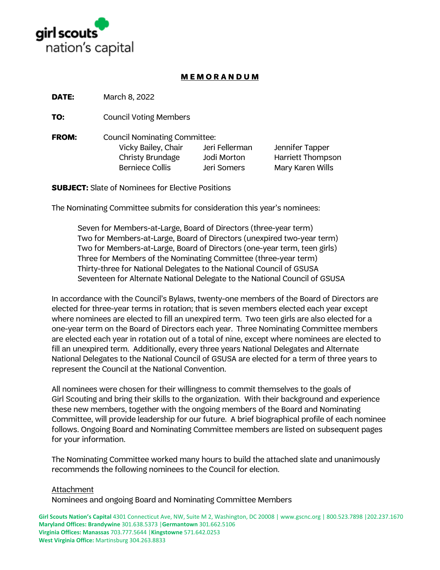

## **M E M O R A N D U M**

**DATE:** March 8, 2022

**TO:** Council Voting Members

**FROM:** Council Nominating Committee: Vicky Bailey, Chair Jeri Fellerman Jennifer Tapper Christy Brundage Jodi Morton Harriett Thompson Berniece Collis **Jeri Somers** Mary Karen Wills

**SUBJECT:** Slate of Nominees for Elective Positions

The Nominating Committee submits for consideration this year's nominees:

Seven for Members-at-Large, Board of Directors (three-year term) Two for Members-at-Large, Board of Directors (unexpired two-year term) Two for Members-at-Large, Board of Directors (one-year term, teen girls) Three for Members of the Nominating Committee (three-year term) Thirty-three for National Delegates to the National Council of GSUSA Seventeen for Alternate National Delegate to the National Council of GSUSA

In accordance with the Council's Bylaws, twenty-one members of the Board of Directors are elected for three-year terms in rotation; that is seven members elected each year except where nominees are elected to fill an unexpired term. Two teen girls are also elected for a one-year term on the Board of Directors each year. Three Nominating Committee members are elected each year in rotation out of a total of nine, except where nominees are elected to fill an unexpired term. Additionally, every three years National Delegates and Alternate National Delegates to the National Council of GSUSA are elected for a term of three years to represent the Council at the National Convention.

All nominees were chosen for their willingness to commit themselves to the goals of Girl Scouting and bring their skills to the organization. With their background and experience these new members, together with the ongoing members of the Board and Nominating Committee, will provide leadership for our future. A brief biographical profile of each nominee follows. Ongoing Board and Nominating Committee members are listed on subsequent pages for your information.

The Nominating Committee worked many hours to build the attached slate and unanimously recommends the following nominees to the Council for election.

### Attachment

Nominees and ongoing Board and Nominating Committee Members

**Girl Scouts Nation's Capital** 4301 Connecticut Ave, NW, Suite M 2, Washington, DC 20008 | www.gscnc.org | 800.523.7898 |202.237.1670 **Maryland Offices: Brandywine** 301.638.5373 |**Germantown** 301.662.5106 **Virginia Offices: Manassas** 703.777.5644 |**Kingstowne** 571.642.0253 **West Virginia Office:** Martinsburg 304.263.8833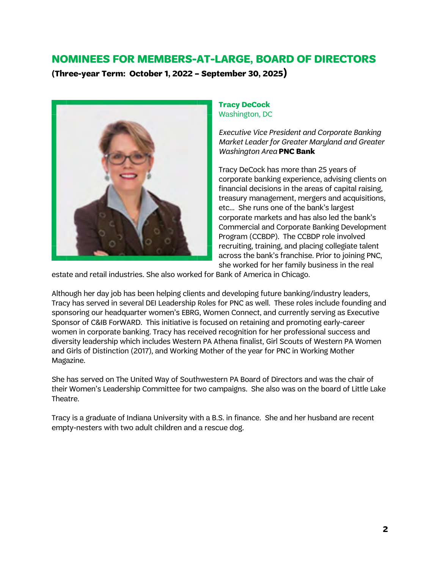## **NOMINEES FOR MEMBERS-AT-LARGE, BOARD OF DIRECTORS**

**(Three-year Term: October 1, 2022 – September 30, 2025)**



## **Tracy DeCock** Washington, DC

*Executive Vice President and Corporate Banking Market Leader for Greater Maryland and Greater Washington Area* **PNC Bank**

Tracy DeCock has more than 25 years of corporate banking experience, advising clients on financial decisions in the areas of capital raising, treasury management, mergers and acquisitions, etc… She runs one of the bank's largest corporate markets and has also led the bank's Commercial and Corporate Banking Development Program (CCBDP). The CCBDP role involved recruiting, training, and placing collegiate talent across the bank's franchise. Prior to joining PNC, she worked for her family business in the real

estate and retail industries. She also worked for Bank of America in Chicago.

Although her day job has been helping clients and developing future banking/industry leaders, Tracy has served in several DEI Leadership Roles for PNC as well. These roles include founding and sponsoring our headquarter women's EBRG, Women Connect, and currently serving as Executive Sponsor of C&IB ForWARD. This initiative is focused on retaining and promoting early-career women in corporate banking. Tracy has received recognition for her professional success and diversity leadership which includes Western PA Athena finalist, Girl Scouts of Western PA Women and Girls of Distinction (2017), and Working Mother of the year for PNC in Working Mother Magazine.

She has served on The United Way of Southwestern PA Board of Directors and was the chair of their Women's Leadership Committee for two campaigns. She also was on the board of Little Lake Theatre.

Tracy is a graduate of Indiana University with a B.S. in finance. She and her husband are recent empty-nesters with two adult children and a rescue dog.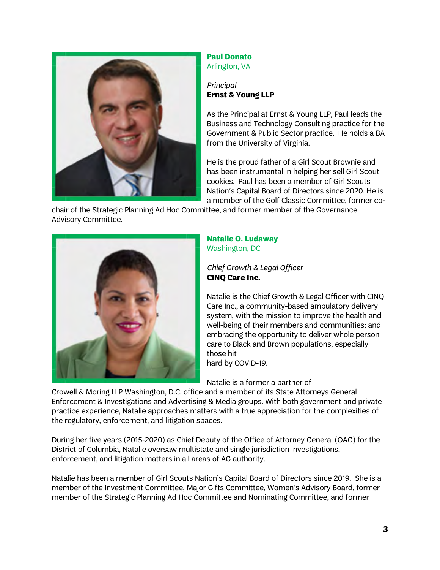

#### **Paul Donato** Arlington, VA

## *Principal* **Ernst & Young LLP**

As the Principal at Ernst & Young LLP, Paul leads the Business and Technology Consulting practice for the Government & Public Sector practice. He holds a BA from the University of Virginia.

He is the proud father of a Girl Scout Brownie and has been instrumental in helping her sell Girl Scout cookies. Paul has been a member of Girl Scouts Nation's Capital Board of Directors since 2020. He is a member of the Golf Classic Committee, former co-

chair of the Strategic Planning Ad Hoc Committee, and former member of the Governance Advisory Committee.



#### **Natalie O. Ludaway** Washington, DC

*Chief Growth & Legal Officer* **CINQ Care Inc.**

Natalie is the Chief Growth & Legal Officer with CINQ Care Inc., a community-based ambulatory delivery system, with the mission to improve the health and well-being of their members and communities; and embracing the opportunity to deliver whole person care to Black and Brown populations, especially those hit

hard by COVID-19.

Natalie is a former a partner of

Crowell & Moring LLP Washington, D.C. office and a member of its State Attorneys General Enforcement & Investigations and Advertising & Media groups. With both government and private practice experience, Natalie approaches matters with a true appreciation for the complexities of the regulatory, enforcement, and litigation spaces.

During her five years (2015-2020) as Chief Deputy of the Office of Attorney General (OAG) for the District of Columbia, Natalie oversaw multistate and single jurisdiction investigations, enforcement, and litigation matters in all areas of AG authority.

Natalie has been a member of Girl Scouts Nation's Capital Board of Directors since 2019. She is a member of the Investment Committee, Major Gifts Committee, Women's Advisory Board, former member of the Strategic Planning Ad Hoc Committee and Nominating Committee, and former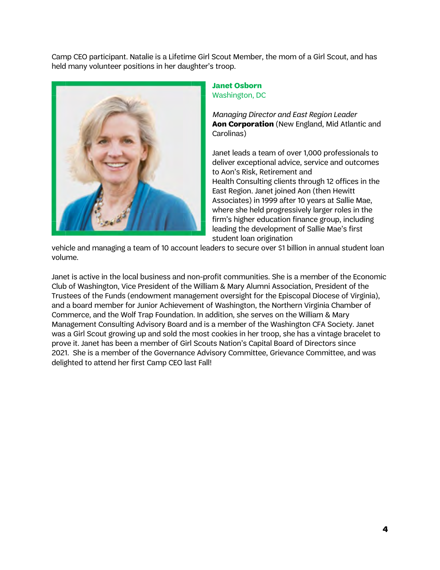Camp CEO participant. Natalie is a Lifetime Girl Scout Member, the mom of a Girl Scout, and has held many volunteer positions in her daughter's troop.



### **Janet Osborn** Washington, DC

*Managing Director and East Region Leader* **Aon Corporation** (New England, Mid Atlantic and Carolinas)

Janet leads a team of over 1,000 professionals to deliver exceptional advice, service and outcomes to Aon's Risk, Retirement and Health Consulting clients through 12 offices in the East Region. Janet joined Aon (then Hewitt Associates) in 1999 after 10 years at Sallie Mae, where she held progressively larger roles in the firm's higher education finance group, including leading the development of Sallie Mae's first student loan origination

vehicle and managing a team of 10 account leaders to secure over \$1 billion in annual student loan volume.

Janet is active in the local business and non-profit communities. She is a member of the Economic Club of Washington, Vice President of the William & Mary Alumni Association, President of the Trustees of the Funds (endowment management oversight for the Episcopal Diocese of Virginia), and a board member for Junior Achievement of Washington, the Northern Virginia Chamber of Commerce, and the Wolf Trap Foundation. In addition, she serves on the William & Mary Management Consulting Advisory Board and is a member of the Washington CFA Society. Janet was a Girl Scout growing up and sold the most cookies in her troop, she has a vintage bracelet to prove it. Janet has been a member of Girl Scouts Nation's Capital Board of Directors since 2021. She is a member of the Governance Advisory Committee, Grievance Committee, and was delighted to attend her first Camp CEO last Fall!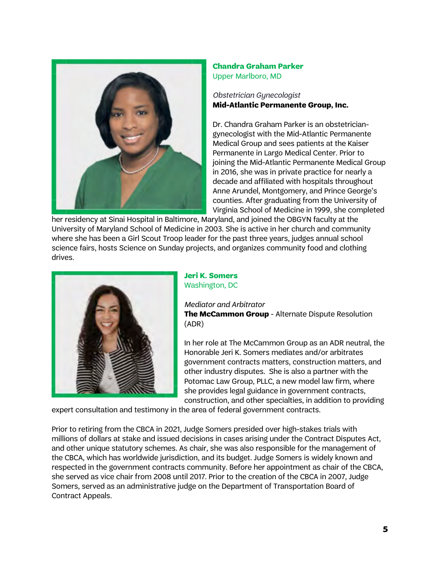

## **Chandra Graham Parker** Upper Marlboro, MD

## *Obstetrician Gynecologist* **Mid-Atlantic Permanente Group, Inc.**

Dr. Chandra Graham Parker is an obstetriciangynecologist with the Mid-Atlantic Permanente Medical Group and sees patients at the Kaiser Permanente in Largo Medical Center. Prior to joining the Mid-Atlantic Permanente Medical Group in 2016, she was in private practice for nearly a decade and affiliated with hospitals throughout Anne Arundel, Montgomery, and Prince George's counties. After graduating from the University of Virginia School of Medicine in 1999, she completed

her residency at Sinai Hospital in Baltimore, Maryland, and joined the OBGYN faculty at the University of Maryland School of Medicine in 2003. She is active in her church and community where she has been a Girl Scout Troop leader for the past three years, judges annual school science fairs, hosts Science on Sunday projects, and organizes community food and clothing drives.



#### **Jeri K. Somers** Washington, DC

*Mediator and Arbitrator*

**The McCammon Group** - Alternate Dispute Resolution (ADR)

In her role at The McCammon Group as an ADR neutral, the Honorable Jeri K. Somers mediates and/or arbitrates government contracts matters, construction matters, and other industry disputes. She is also a partner with the Potomac Law Group, PLLC, a new model law firm, where she provides legal guidance in government contracts, construction, and other specialties, in addition to providing

expert consultation and testimony in the area of federal government contracts.

Prior to retiring from the CBCA in 2021, Judge Somers presided over high-stakes trials with millions of dollars at stake and issued decisions in cases arising under the Contract Disputes Act, and other unique statutory schemes. As chair, she was also responsible for the management of the CBCA, which has worldwide jurisdiction, and its budget. Judge Somers is widely known and respected in the government contracts community. Before her appointment as chair of the CBCA, she served as vice chair from 2008 until 2017. Prior to the creation of the CBCA in 2007, Judge Somers, served as an administrative judge on the Department of Transportation Board of Contract Appeals.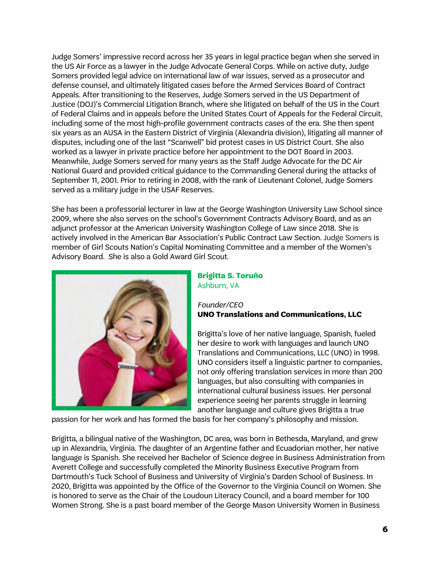Judge Somers' impressive record across her 35 years in legal practice began when she served in the US Air Force as a lawyer in the Judge Advocate General Corps. While on active duty, Judge Somers provided legal advice on international law of war issues, served as a prosecutor and defense counsel, and ultimately litigated cases before the Armed Services Board of Contract Appeals. After transitioning to the Reserves, Judge Somers served in the US Department of Justice (DOJ)'s Commercial Litigation Branch, where she litigated on behalf of the US in the Court of Federal Claims and in appeals before the United States Court of Appeals for the Federal Circuit, including some of the most high-profile government contracts cases of the era. She then spent six years as an AUSA in the Eastern District of Virginia (Alexandria division), litigating all manner of disputes, including one of the last "Scanwell" bid protest cases in US District Court. She also worked as a lawyer in private practice before her appointment to the DOT Board in 2003. Meanwhile, Judge Somers served for many years as the Staff Judge Advocate for the DC Air National Guard and provided critical guidance to the Commanding General during the attacks of September 11, 2001. Prior to retiring in 2008, with the rank of Lieutenant Colonel, Judge Somers served as a military judge in the USAF Reserves.

She has been a professorial lecturer in law at the George Washington University Law School since 2009, where she also serves on the school's Government Contracts Advisory Board, and as an adjunct professor at the American University Washington College of Law since 2018. She is actively involved in the American Bar Association's Public Contract Law Section. Judge Somers is member of Girl Scouts Nation's Capital Nominating Committee and a member of the Women's Advisory Board. She is also a Gold Award Girl Scout.



#### **Brigitta S. Toruño** Ashburn, VA

### *Founder/CEO* **UNO Translations and Communications, LLC**

Brigitta's love of her native language, Spanish, fueled her desire to work with languages and launch UNO Translations and Communications, LLC (UNO) in 1998. UNO considers itself a linguistic partner to companies, not only offering translation services in more than 200 languages, but also consulting with companies in international cultural business issues. Her personal experience seeing her parents struggle in learning another language and culture gives Brigitta a true

passion for her work and has formed the basis for her company's philosophy and mission.

Brigitta, a bilingual native of the Washington, DC area, was born in Bethesda, Maryland, and grew up in Alexandria, Virginia. The daughter of an Argentine father and Ecuadorian mother, her native language is Spanish. She received her Bachelor of Science degree in Business Administration from Averett College and successfully completed the Minority Business Executive Program from Dartmouth's Tuck School of Business and University of Virginia's Darden School of Business. In 2020, Brigitta was appointed by the Office of the Governor to the Virginia Council on Women. She is honored to serve as the Chair of the Loudoun Literacy Council, and a board member for 100 Women Strong. She is a past board member of the George Mason University Women in Business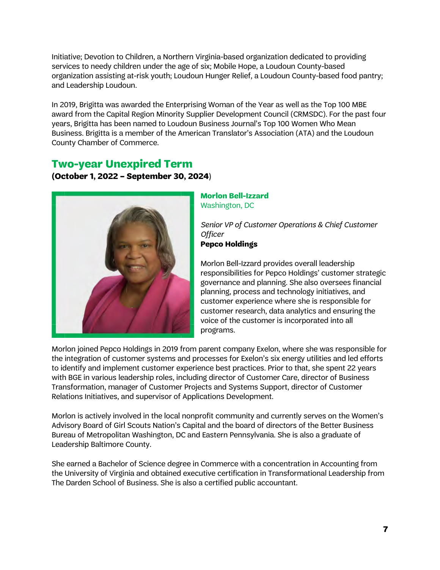Initiative; Devotion to Children, a Northern Virginia-based organization dedicated to providing services to needy children under the age of six; Mobile Hope, a Loudoun County-based organization assisting at-risk youth; Loudoun Hunger Relief, a Loudoun County-based food pantry; and Leadership Loudoun.

In 2019, Brigitta was awarded the Enterprising Woman of the Year as well as the Top 100 MBE award from the Capital Region Minority Supplier Development Council (CRMSDC). For the past four years, Brigitta has been named to Loudoun Business Journal's Top 100 Women Who Mean Business. Brigitta is a member of the American Translator's Association (ATA) and the Loudoun County Chamber of Commerce.

## **Two-year Unexpired Term (October 1, 2022 – September 30, 2024**)



## **Morlon Bell-Izzard** Washington, DC

*Senior VP of Customer Operations & Chief Customer Officer* **Pepco Holdings**

Morlon Bell-Izzard provides overall leadership responsibilities for Pepco Holdings' customer strategic governance and planning. She also oversees financial planning, process and technology initiatives, and customer experience where she is responsible for customer research, data analytics and ensuring the voice of the customer is incorporated into all programs.

Morlon joined Pepco Holdings in 2019 from parent company Exelon, where she was responsible for the integration of customer systems and processes for Exelon's six energy utilities and led efforts to identify and implement customer experience best practices. Prior to that, she spent 22 years with BGE in various leadership roles, including director of Customer Care, director of Business Transformation, manager of Customer Projects and Systems Support, director of Customer Relations Initiatives, and supervisor of Applications Development.

Morlon is actively involved in the local nonprofit community and currently serves on the Women's Advisory Board of Girl Scouts Nation's Capital and the board of directors of the Better Business Bureau of Metropolitan Washington, DC and Eastern Pennsylvania. She is also a graduate of Leadership Baltimore County.

She earned a Bachelor of Science degree in Commerce with a concentration in Accounting from the University of Virginia and obtained executive certification in Transformational Leadership from The Darden School of Business. She is also a certified public accountant.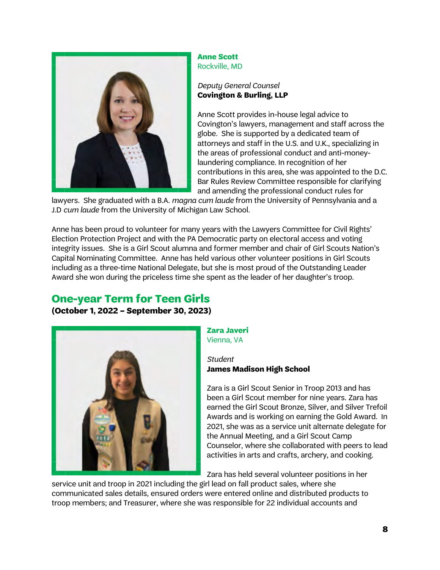

**Anne Scott** Rockville, MD

## *Deputy General Counsel* **Covington & Burling, LLP**

Anne Scott provides in-house legal advice to Covington's lawyers, management and staff across the globe. She is supported by a dedicated team of attorneys and staff in the U.S. and U.K., specializing in the areas of professional conduct and anti-moneylaundering compliance. In recognition of her contributions in this area, she was appointed to the D.C. Bar Rules Review Committee responsible for clarifying and amending the professional conduct rules for

lawyers. She graduated with a B.A. *magna cum laude* from the University of Pennsylvania and a J.D *cum laude* from the University of Michigan Law School.

Anne has been proud to volunteer for many years with the Lawyers Committee for Civil Rights' Election Protection Project and with the PA Democratic party on electoral access and voting integrity issues. She is a Girl Scout alumna and former member and chair of Girl Scouts Nation's Capital Nominating Committee. Anne has held various other volunteer positions in Girl Scouts including as a three-time National Delegate, but she is most proud of the Outstanding Leader Award she won during the priceless time she spent as the leader of her daughter's troop.

# **One-year Term for Teen Girls**

**(October 1, 2022 – September 30, 2023)**



#### **Zara Javeri** Vienna, VA

#### *Student* **James Madison High School**

Zara is a Girl Scout Senior in Troop 2013 and has been a Girl Scout member for nine years. Zara has earned the Girl Scout Bronze, Silver, and Silver Trefoil Awards and is working on earning the Gold Award. In 2021, she was as a service unit alternate delegate for the Annual Meeting, and a Girl Scout Camp Counselor, where she collaborated with peers to lead activities in arts and crafts, archery, and cooking.

Zara has held several volunteer positions in her

service unit and troop in 2021 including the girl lead on fall product sales, where she communicated sales details, ensured orders were entered online and distributed products to troop members; and Treasurer, where she was responsible for 22 individual accounts and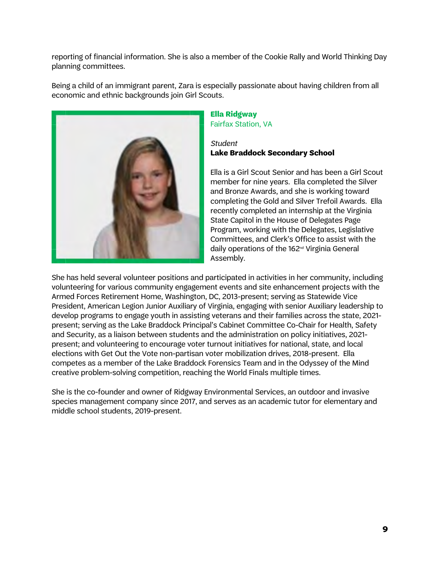reporting of financial information. She is also a member of the Cookie Rally and World Thinking Day planning committees.

Being a child of an immigrant parent, Zara is especially passionate about having children from all economic and ethnic backgrounds join Girl Scouts.



#### **Ella Ridgway** Fairfax Station, VA

## *Student* **Lake Braddock Secondary School**

Ella is a Girl Scout Senior and has been a Girl Scout member for nine years. Ella completed the Silver and Bronze Awards, and she is working toward completing the Gold and Silver Trefoil Awards. Ella recently completed an internship at the Virginia State Capitol in the House of Delegates Page Program, working with the Delegates, Legislative Committees, and Clerk's Office to assist with the daily operations of the 162nd Virginia General Assembly.

She has held several volunteer positions and participated in activities in her community, including volunteering for various community engagement events and site enhancement projects with the Armed Forces Retirement Home, Washington, DC, 2013-present; serving as Statewide Vice President, American Legion Junior Auxiliary of Virginia, engaging with senior Auxiliary leadership to develop programs to engage youth in assisting veterans and their families across the state, 2021 present; serving as the Lake Braddock Principal's Cabinet Committee Co-Chair for Health, Safety and Security, as a liaison between students and the administration on policy initiatives, 2021 present; and volunteering to encourage voter turnout initiatives for national, state, and local elections with Get Out the Vote non-partisan voter mobilization drives, 2018-present. Ella competes as a member of the Lake Braddock Forensics Team and in the Odyssey of the Mind creative problem-solving competition, reaching the World Finals multiple times.

She is the co-founder and owner of Ridgway Environmental Services, an outdoor and invasive species management company since 2017, and serves as an academic tutor for elementary and middle school students, 2019-present.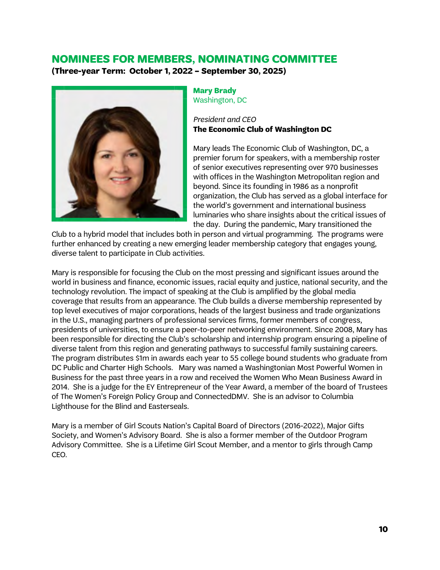## **NOMINEES FOR MEMBERS, NOMINATING COMMITTEE**

**(Three-year Term: October 1, 2022 – September 30, 2025)**



#### **Mary Brady** Washington, DC

*President and CEO* **The Economic Club of Washington DC**

Mary leads The Economic Club of Washington, DC, a premier forum for speakers, with a membership roster of senior executives representing over 970 businesses with offices in the Washington Metropolitan region and beyond. Since its founding in 1986 as a nonprofit organization, the Club has served as a global interface for the world's government and international business luminaries who share insights about the critical issues of the day. During the pandemic, Mary transitioned the

Club to a hybrid model that includes both in person and virtual programming. The programs were further enhanced by creating a new emerging leader membership category that engages young, diverse talent to participate in Club activities.

Mary is responsible for focusing the Club on the most pressing and significant issues around the world in business and finance, economic issues, racial equity and justice, national security, and the technology revolution. The impact of speaking at the Club is amplified by the global media coverage that results from an appearance. The Club builds a diverse membership represented by top level executives of major corporations, heads of the largest business and trade organizations in the U.S., managing partners of professional services firms, former members of congress, presidents of universities, to ensure a peer-to-peer networking environment. Since 2008, Mary has been responsible for directing the Club's scholarship and internship program ensuring a pipeline of diverse talent from this region and generating pathways to successful family sustaining careers. The program distributes \$1m in awards each year to 55 college bound students who graduate from DC Public and Charter High Schools. Mary was named a Washingtonian Most Powerful Women in Business for the past three years in a row and received the Women Who Mean Business Award in 2014. She is a judge for the EY Entrepreneur of the Year Award, a member of the board of Trustees of The Women's Foreign Policy Group and ConnectedDMV. She is an advisor to Columbia Lighthouse for the Blind and Easterseals.

Mary is a member of Girl Scouts Nation's Capital Board of Directors (2016-2022), Major Gifts Society, and Women's Advisory Board. She is also a former member of the Outdoor Program Advisory Committee. She is a Lifetime Girl Scout Member, and a mentor to girls through Camp CEO.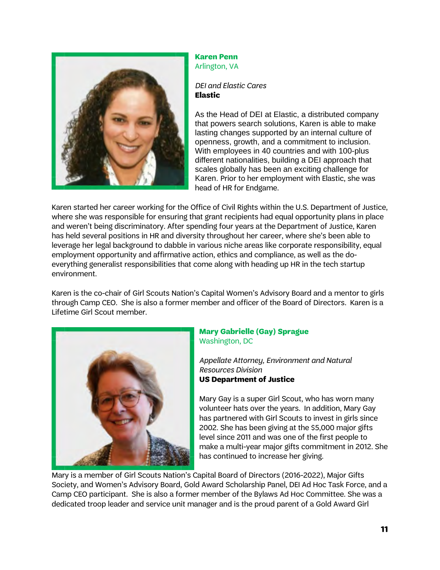

#### **Karen Penn** Arlington, VA

### *DEI and Elastic Cares* **Elastic**

As the Head of DEI at Elastic, a distributed company that powers search solutions, Karen is able to make lasting changes supported by an internal culture of openness, growth, and a commitment to inclusion. With employees in 40 countries and with 100-plus different nationalities, building a DEI approach that scales globally has been an exciting challenge for Karen. Prior to her employment with Elastic, she was head of HR for Endgame.

Karen started her career working for the Office of Civil Rights within the U.S. Department of Justice, where she was responsible for ensuring that grant recipients had equal opportunity plans in place and weren't being discriminatory. After spending four years at the Department of Justice, Karen has held several positions in HR and diversity throughout her career, where she's been able to leverage her legal background to dabble in various niche areas like corporate responsibility, equal employment opportunity and affirmative action, ethics and compliance, as well as the doeverything generalist responsibilities that come along with heading up HR in the tech startup environment.

Karen is the co-chair of Girl Scouts Nation's Capital Women's Advisory Board and a mentor to girls through Camp CEO. She is also a former member and officer of the Board of Directors. Karen is a Lifetime Girl Scout member.



#### **Mary Gabrielle (Gay) Sprague** Washington, DC

*Appellate Attorney, Environment and Natural Resources Division* **US Department of Justice**

Mary Gay is a super Girl Scout, who has worn many volunteer hats over the years. In addition, Mary Gay has partnered with Girl Scouts to invest in girls since 2002. She has been giving at the \$5,000 major gifts level since 2011 and was one of the first people to make a multi-year major gifts commitment in 2012. She has continued to increase her giving.

Mary is a member of Girl Scouts Nation's Capital Board of Directors (2016-2022), Major Gifts Society, and Women's Advisory Board, Gold Award Scholarship Panel, DEI Ad Hoc Task Force, and a Camp CEO participant. She is also a former member of the Bylaws Ad Hoc Committee. She was a dedicated troop leader and service unit manager and is the proud parent of a Gold Award Girl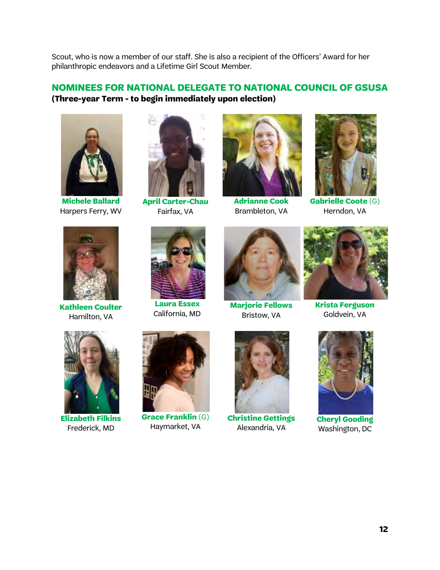Scout, who is now a member of our staff. She is also a recipient of the Officers' Award for her philanthropic endeavors and a Lifetime Girl Scout Member.

## **NOMINEES FOR NATIONAL DELEGATE TO NATIONAL COUNCIL OF GSUSA (Three-year Term - to begin immediately upon election)**



**Michele Ballard** Harpers Ferry, WV



**Kathleen Coulter** Hamilton, VA



**April Carter-Chau** Fairfax, VA



**Adrianne Cook** Brambleton, VA



**Gabrielle Coote** (G) Herndon, VA



**Laura Essex** California, MD



**Marjorie Fellows** Bristow, VA



**Krista Ferguson** Goldvein, VA



**Elizabeth Filkins** Frederick, MD



**Grace Franklin** (G) Haymarket, VA



**Christine Gettings** Alexandria, VA



**Cheryl Gooding** Washington, DC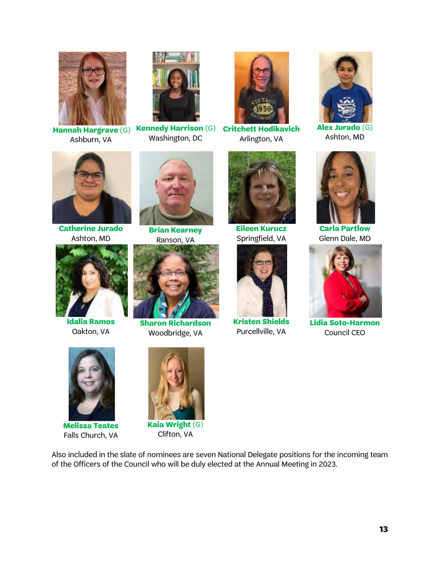

Ashburn, VA



**Hannah Hargrave** (G) **Kennedy Harrison** (G) Washington, DC



**Critchett Hodikavich** Arlington, VA



**Alex Jurado** (G) Ashton, MD



**Catherine Jurado** Ashton, MD



**Idalia Ramos** Oakton, VA



**Brian Kearney** Ranson, VA



**Sharon Richardson** Woodbridge, VA



**Eileen Kurucz** Springfield, VA



**Kristen Shields** Purcellville, VA



**Carla Partlow** Glenn Dale, MD



**Lidia Soto-Harmon** Council CEO



**Melissa Teates** Falls Church, VA



Clifton, VA

Also included in the slate of nominees are seven National Delegate positions for the incoming team of the Officers of the Council who will be duly elected at the Annual Meeting in 2023.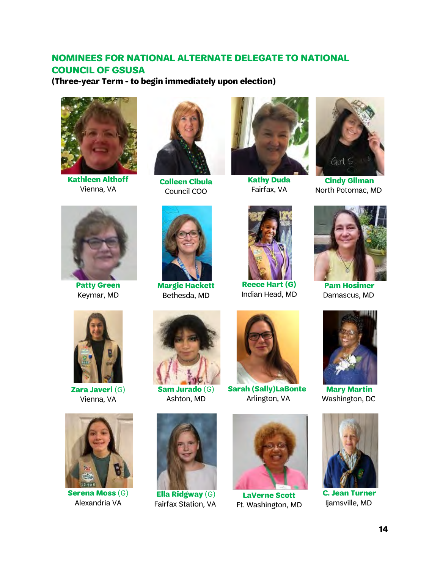## **NOMINEES FOR NATIONAL ALTERNATE DELEGATE TO NATIONAL COUNCIL OF GSUSA**

**(Three-year Term - to begin immediately upon election)**



**Kathleen Althoff** Vienna, VA



**Patty Green** Keymar, MD



**Colleen Cibula** Council COO



**Margie Hackett** Bethesda, MD



**Kathy Duda** Fairfax, VA



**Reece Hart (G)** Indian Head, MD



**Cindy Gilman** North Potomac, MD



**Pam Hosimer** Damascus, MD



**Zara Javeri** (G) Vienna, VA



**Serena Moss** (G) Alexandria VA



Ashton, MD



**Ella Ridgway** (G) Fairfax Station, VA



**Sarah (Sally)LaBonte** Arlington, VA



**LaVerne Scott** Ft. Washington, MD



**Mary Martin** Washington, DC



**C. Jean Turner** Ijamsville, MD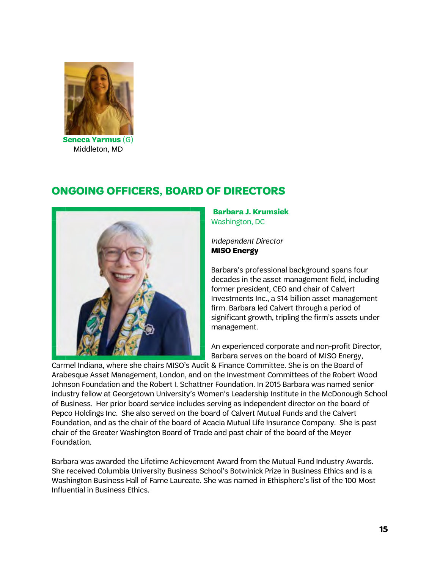

**Seneca Yarmus** (G) Middleton, MD

# **ONGOING OFFICERS, BOARD OF DIRECTORS**



**Barbara J. Krumsiek** Washington, DC

*Independent Director* **MISO Energy**

Barbara's professional background spans four decades in the asset management field, including former president, CEO and chair of Calvert Investments Inc., a \$14 billion asset management firm. Barbara led Calvert through a period of significant growth, tripling the firm's assets under management.

An experienced corporate and non-profit Director, Barbara serves on the board of MISO Energy,

Carmel Indiana, where she chairs MISO's Audit & Finance Committee. She is on the Board of Arabesque Asset Management, London, and on the Investment Committees of the Robert Wood Johnson Foundation and the Robert I. Schattner Foundation. In 2015 Barbara was named senior industry fellow at Georgetown University's Women's Leadership Institute in the McDonough School of Business.  Her prior board service includes serving as independent director on the board of Pepco Holdings Inc.  She also served on the board of Calvert Mutual Funds and the Calvert Foundation, and as the chair of the board of Acacia Mutual Life Insurance Company.  She is past chair of the Greater Washington Board of Trade and past chair of the board of the Meyer Foundation.

Barbara was awarded the Lifetime Achievement Award from the Mutual Fund Industry Awards. She received Columbia University Business School's Botwinick Prize in Business Ethics and is a Washington Business Hall of Fame Laureate. She was named in Ethisphere's list of the 100 Most Influential in Business Ethics.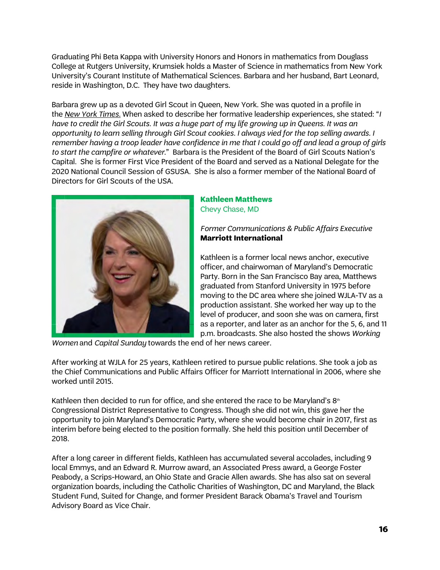Graduating Phi Beta Kappa with University Honors and Honors in mathematics from Douglass College at Rutgers University, Krumsiek holds a Master of Science in mathematics from New York University's Courant Institute of Mathematical Sciences. Barbara and her husband, Bart Leonard, reside in Washington, D.C.  They have two daughters.

Barbara grew up as a devoted Girl Scout in Queen, New York. She was quoted in a profile in the *New York Times.* When asked to describe her formative leadership experiences, she stated: "*I have to credit the Girl Scouts. It was a huge part of my life growing up in Queens. It was an opportunity to learn selling through Girl Scout cookies. I always vied for the top selling awards. I remember having a troop leader have confidence in me that I could go off and lead a group of girls to start the campfire or whatever*." Barbara is the President of the Board of Girl Scouts Nation's Capital. She is former First Vice President of the Board and served as a National Delegate for the 2020 National Council Session of GSUSA. She is also a former member of the National Board of Directors for Girl Scouts of the USA.



### **Kathleen Matthews** Chevy Chase, MD

## *Former Communications & Public Affairs Executive* **Marriott International**

Kathleen is a former local news anchor, executive officer, and chairwoman of Maryland's Democratic Party. Born in the San Francisco Bay area, Matthews graduated from Stanford University in 1975 before moving to the DC area where she joined WJLA-TV as a production assistant. She worked her way up to the level of producer, and soon she was on camera, first as a reporter, and later as an anchor for the 5, 6, and 11 p.m. broadcasts. She also hosted the shows *Working* 

*Women* and *Capital Sunday* towards the end of her news career.

After working at WJLA for 25 years, Kathleen retired to pursue public relations. She took a job as the Chief Communications and Public Affairs Officer for Marriott International in 2006, where she worked until 2015.

Kathleen then decided to run for office, and she entered the race to be Maryland's  $8<sup>th</sup>$ Congressional District Representative to Congress. Though she did not win, this gave her the opportunity to join Maryland's Democratic Party, where she would become chair in 2017, first as interim before being elected to the position formally. She held this position until December of 2018.

After a long career in different fields, Kathleen has accumulated several accolades, including 9 local Emmys, and an Edward R. Murrow award, an Associated Press award, a George Foster Peabody, a Scrips-Howard, an Ohio State and Gracie Allen awards. She has also sat on several organization boards, including the Catholic Charities of Washington, DC and Maryland, the Black Student Fund, Suited for Change, and former President Barack Obama's Travel and Tourism Advisory Board as Vice Chair.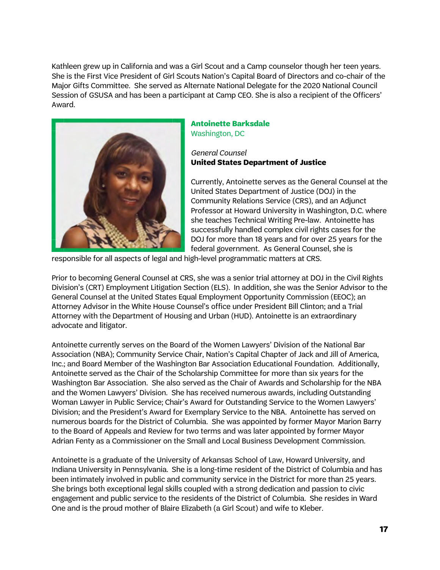Kathleen grew up in California and was a Girl Scout and a Camp counselor though her teen years. She is the First Vice President of Girl Scouts Nation's Capital Board of Directors and co-chair of the Major Gifts Committee. She served as Alternate National Delegate for the 2020 National Council Session of GSUSA and has been a participant at Camp CEO. She is also a recipient of the Officers' Award.



#### **Antoinette Barksdale** Washington, DC

#### *General Counsel* **United States Department of Justice**

Currently, Antoinette serves as the General Counsel at the United States Department of Justice (DOJ) in the Community Relations Service (CRS), and an Adjunct Professor at Howard University in Washington, D.C. where she teaches Technical Writing Pre-law. Antoinette has successfully handled complex civil rights cases for the DOJ for more than 18 years and for over 25 years for the federal government. As General Counsel, she is

responsible for all aspects of legal and high-level programmatic matters at CRS.

Prior to becoming General Counsel at CRS, she was a senior trial attorney at DOJ in the Civil Rights Division's (CRT) Employment Litigation Section (ELS).  In addition, she was the Senior Advisor to the General Counsel at the United States Equal Employment Opportunity Commission (EEOC); an Attorney Advisor in the White House Counsel's office under President Bill Clinton; and a Trial Attorney with the Department of Housing and Urban (HUD). Antoinette is an extraordinary advocate and litigator.

Antoinette currently serves on the Board of the Women Lawyers' Division of the National Bar Association (NBA); Community Service Chair, Nation's Capital Chapter of Jack and Jill of America, Inc.; and Board Member of the Washington Bar Association Educational Foundation. Additionally, Antoinette served as the Chair of the Scholarship Committee for more than six years for the Washington Bar Association. She also served as the Chair of Awards and Scholarship for the NBA and the Women Lawyers' Division. She has received numerous awards, including Outstanding Woman Lawyer in Public Service; Chair's Award for Outstanding Service to the Women Lawyers' Division; and the President's Award for Exemplary Service to the NBA.  Antoinette has served on numerous boards for the District of Columbia. She was appointed by former Mayor Marion Barry to the Board of Appeals and Review for two terms and was later appointed by former Mayor Adrian Fenty as a Commissioner on the Small and Local Business Development Commission.

Antoinette is a graduate of the University of Arkansas School of Law, Howard University, and Indiana University in Pennsylvania.  She is a long-time resident of the District of Columbia and has been intimately involved in public and community service in the District for more than 25 years. She brings both exceptional legal skills coupled with a strong dedication and passion to civic engagement and public service to the residents of the District of Columbia.  She resides in Ward One and is the proud mother of Blaire Elizabeth (a Girl Scout) and wife to Kleber.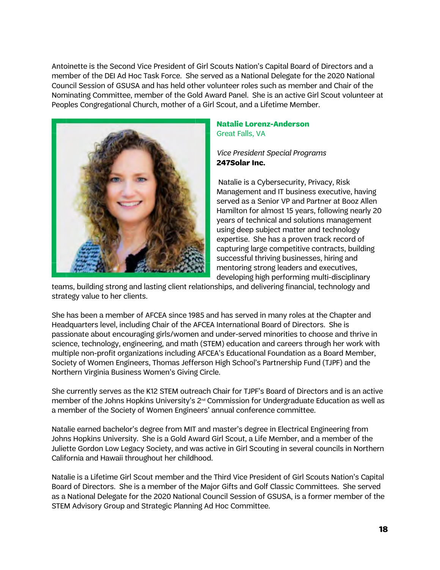Antoinette is the Second Vice President of Girl Scouts Nation's Capital Board of Directors and a member of the DEI Ad Hoc Task Force. She served as a National Delegate for the 2020 National Council Session of GSUSA and has held other volunteer roles such as member and Chair of the Nominating Committee, member of the Gold Award Panel. She is an active Girl Scout volunteer at Peoples Congregational Church, mother of a Girl Scout, and a Lifetime Member.  



#### **Natalie Lorenz-Anderson** Great Falls, VA

*Vice President Special Programs* **247Solar Inc.** 

Natalie is a Cybersecurity, Privacy, Risk Management and IT business executive, having served as a Senior VP and Partner at Booz Allen Hamilton for almost 15 years, following nearly 20 years of technical and solutions management using deep subject matter and technology expertise. She has a proven track record of capturing large competitive contracts, building successful thriving businesses, hiring and mentoring strong leaders and executives, developing high performing multi-disciplinary

teams, building strong and lasting client relationships, and delivering financial, technology and strategy value to her clients.   

She has been a member of AFCEA since 1985 and has served in many roles at the Chapter and Headquarters level, including Chair of the AFCEA International Board of Directors. She is passionate about encouraging girls/women and under-served minorities to choose and thrive in science, technology, engineering, and math (STEM) education and careers through her work with multiple non-profit organizations including AFCEA's Educational Foundation as a Board Member, Society of Women Engineers, Thomas Jefferson High School's Partnership Fund (TJPF) and the Northern Virginia Business Women's Giving Circle.  

She currently serves as the K12 STEM outreach Chair for TJPF's Board of Directors and is an active member of the Johns Hopkins University's 2<sup>nd</sup> Commission for Undergraduate Education as well as a member of the Society of Women Engineers' annual conference committee.

Natalie earned bachelor's degree from MIT and master's degree in Electrical Engineering from Johns Hopkins University. She is a Gold Award Girl Scout, a Life Member, and a member of the Juliette Gordon Low Legacy Society, and was active in Girl Scouting in several councils in Northern California and Hawaii throughout her childhood.

Natalie is a Lifetime Girl Scout member and the Third Vice President of Girl Scouts Nation's Capital Board of Directors. She is a member of the Major Gifts and Golf Classic Committees. She served as a National Delegate for the 2020 National Council Session of GSUSA, is a former member of the STEM Advisory Group and Strategic Planning Ad Hoc Committee.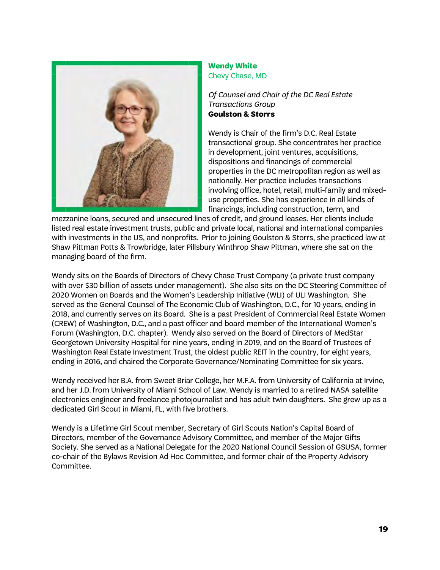

## **Wendy White** Chevy Chase, MD

*Of Counsel and Chair of the DC Real Estate Transactions Group* **Goulston & Storrs**

Wendy is Chair of the firm's D.C. Real Estate transactional group. She concentrates her practice in development, joint ventures, acquisitions, dispositions and financings of commercial properties in the DC metropolitan region as well as nationally. Her practice includes transactions involving office, hotel, retail, multi-family and mixeduse properties. She has experience in all kinds of financings, including construction, term, and

mezzanine loans, secured and unsecured lines of credit, and ground leases. Her clients include listed real estate investment trusts, public and private local, national and international companies with investments in the US, and nonprofits.  Prior to joining Goulston & Storrs, she practiced law at Shaw Pittman Potts & Trowbridge, later Pillsbury Winthrop Shaw Pittman, where she sat on the managing board of the firm.

Wendy sits on the Boards of Directors of Chevy Chase Trust Company (a private trust company with over \$30 billion of assets under management). She also sits on the DC Steering Committee of 2020 Women on Boards and the Women's Leadership Initiative (WLI) of ULI Washington. She served as the General Counsel of The Economic Club of Washington, D.C., for 10 years, ending in 2018, and currently serves on its Board. She is a past President of Commercial Real Estate Women (CREW) of Washington, D.C., and a past officer and board member of the International Women's Forum (Washington, D.C. chapter). Wendy also served on the Board of Directors of MedStar Georgetown University Hospital for nine years, ending in 2019, and on the Board of Trustees of Washington Real Estate Investment Trust, the oldest public REIT in the country, for eight years, ending in 2016, and chaired the Corporate Governance/Nominating Committee for six years.

Wendy received her B.A. from Sweet Briar College, her M.F.A. from University of California at Irvine, and her J.D. from University of Miami School of Law. Wendy is married to a retired NASA satellite electronics engineer and freelance photojournalist and has adult twin daughters. She grew up as a dedicated Girl Scout in Miami, FL, with five brothers.

Wendy is a Lifetime Girl Scout member, Secretary of Girl Scouts Nation's Capital Board of Directors, member of the Governance Advisory Committee, and member of the Major Gifts Society. She served as a National Delegate for the 2020 National Council Session of GSUSA, former co-chair of the Bylaws Revision Ad Hoc Committee, and former chair of the Property Advisory Committee.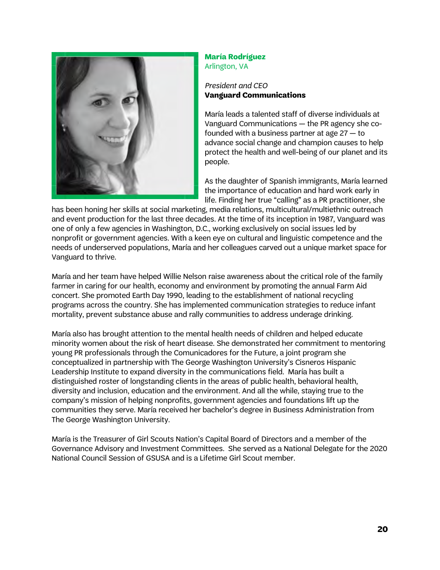

#### **María Rodríguez** Arlington, VA

### *President and CEO* **Vanguard Communications**

María leads a talented staff of diverse individuals at Vanguard Communications — the PR agency she cofounded with a business partner at age 27 — to advance social change and champion causes to help protect the health and well-being of our planet and its people.

As the daughter of Spanish immigrants, María learned the importance of education and hard work early in life. Finding her true "calling" as a PR practitioner, she

has been honing her skills at social marketing, media relations, multicultural/multiethnic outreach and event production for the last three decades. At the time of its inception in 1987, Vanguard was one of only a few agencies in Washington, D.C., working exclusively on social issues led by nonprofit or government agencies. With a keen eye on cultural and linguistic competence and the needs of underserved populations, María and her colleagues carved out a unique market space for Vanguard to thrive.

María and her team have helped Willie Nelson raise awareness about the critical role of the family farmer in caring for our health, economy and environment by promoting the annual Farm Aid concert. She promoted Earth Day 1990, leading to the establishment of national recycling programs across the country. She has implemented communication strategies to reduce infant mortality, prevent substance abuse and rally communities to address underage drinking.

María also has brought attention to the mental health needs of children and helped educate minority women about the risk of heart disease. She demonstrated her commitment to mentoring young PR professionals through the Comunicadores for the Future, a joint program she conceptualized in partnership with The George Washington University's Cisneros Hispanic Leadership Institute to expand diversity in the communications field. María has built a distinguished roster of longstanding clients in the areas of public health, behavioral health, diversity and inclusion, education and the environment. And all the while, staying true to the company's mission of helping nonprofits, government agencies and foundations lift up the communities they serve. María received her bachelor's degree in Business Administration from The George Washington University.

María is the Treasurer of Girl Scouts Nation's Capital Board of Directors and a member of the Governance Advisory and Investment Committees. She served as a National Delegate for the 2020 National Council Session of GSUSA and is a Lifetime Girl Scout member.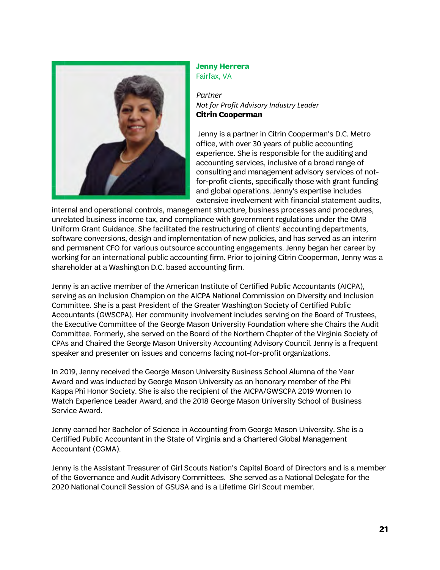

#### **Jenny Herrera** Fairfax, VA

#### *Partner Not for Profit Advisory Industry Leader* **Citrin Cooperman**

Jenny is a partner in Citrin Cooperman's D.C. Metro office, with over 30 years of public accounting experience. She is responsible for the auditing and accounting services, inclusive of a broad range of consulting and management advisory services of notfor-profit clients, specifically those with grant funding and global operations. Jenny's expertise includes extensive involvement with financial statement audits,

internal and operational controls, management structure, business processes and procedures, unrelated business income tax, and compliance with government regulations under the OMB Uniform Grant Guidance. She facilitated the restructuring of clients' accounting departments, software conversions, design and implementation of new policies, and has served as an interim and permanent CFO for various outsource accounting engagements. Jenny began her career by working for an international public accounting firm. Prior to joining Citrin Cooperman, Jenny was a shareholder at a Washington D.C. based accounting firm.

Jenny is an active member of the American Institute of Certified Public Accountants (AICPA), serving as an Inclusion Champion on the AICPA National Commission on Diversity and Inclusion Committee. She is a past President of the Greater Washington Society of Certified Public Accountants (GWSCPA). Her community involvement includes serving on the Board of Trustees, the Executive Committee of the George Mason University Foundation where she Chairs the Audit Committee. Formerly, she served on the Board of the Northern Chapter of the Virginia Society of CPAs and Chaired the George Mason University Accounting Advisory Council. Jenny is a frequent speaker and presenter on issues and concerns facing not-for-profit organizations.

In 2019, Jenny received the George Mason University Business School Alumna of the Year Award and was inducted by George Mason University as an honorary member of the Phi Kappa Phi Honor Society. She is also the recipient of the AICPA/GWSCPA 2019 Women to Watch Experience Leader Award, and the 2018 George Mason University School of Business Service Award.

Jenny earned her Bachelor of Science in Accounting from George Mason University. She is a Certified Public Accountant in the State of Virginia and a Chartered Global Management Accountant (CGMA).

Jenny is the Assistant Treasurer of Girl Scouts Nation's Capital Board of Directors and is a member of the Governance and Audit Advisory Committees. She served as a National Delegate for the 2020 National Council Session of GSUSA and is a Lifetime Girl Scout member.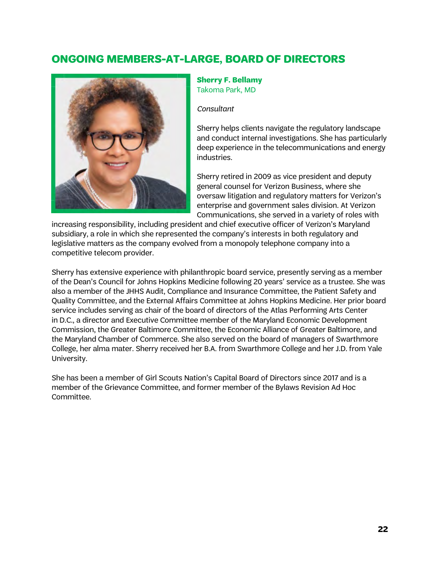# **ONGOING MEMBERS-AT-LARGE, BOARD OF DIRECTORS**



**Sherry F. Bellamy** Takoma Park, MD

*Consultant*

Sherry helps clients navigate the regulatory landscape and conduct internal investigations. She has particularly deep experience in the telecommunications and energy industries.

Sherry retired in 2009 as vice president and deputy general counsel for Verizon Business, where she oversaw litigation and regulatory matters for Verizon's enterprise and government sales division. At Verizon Communications, she served in a variety of roles with

increasing responsibility, including president and chief executive officer of Verizon's Maryland subsidiary, a role in which she represented the company's interests in both regulatory and legislative matters as the company evolved from a monopoly telephone company into a competitive telecom provider.

Sherry has extensive experience with philanthropic board service, presently serving as a member of the Dean's Council for Johns Hopkins Medicine following 20 years' service as a trustee. She was also a member of the JHHS Audit, Compliance and Insurance Committee, the Patient Safety and Quality Committee, and the External Affairs Committee at Johns Hopkins Medicine. Her prior board service includes serving as chair of the board of directors of the Atlas Performing Arts Center in D.C., a director and Executive Committee member of the Maryland Economic Development Commission, the Greater Baltimore Committee, the Economic Alliance of Greater Baltimore, and the Maryland Chamber of Commerce. She also served on the board of managers of Swarthmore College, her alma mater. Sherry received her B.A. from Swarthmore College and her J.D. from Yale University.

She has been a member of Girl Scouts Nation's Capital Board of Directors since 2017 and is a member of the Grievance Committee, and former member of the Bylaws Revision Ad Hoc Committee.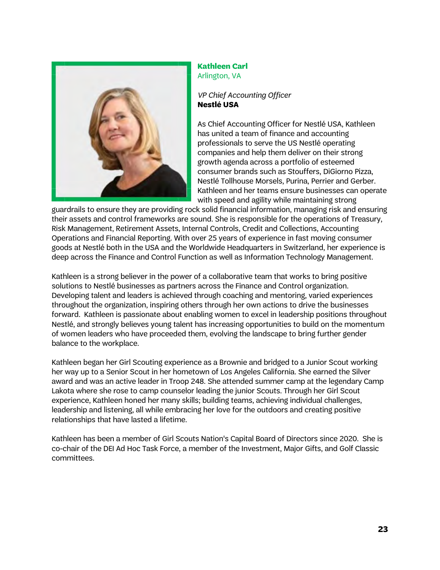

#### **Kathleen Carl** Arlington, VA

*VP Chief Accounting Officer* **Nestlé USA**

As Chief Accounting Officer for Nestlé USA, Kathleen has united a team of finance and accounting professionals to serve the US Nestlé operating companies and help them deliver on their strong growth agenda across a portfolio of esteemed consumer brands such as Stouffers, DiGiorno Pizza, Nestlé Tollhouse Morsels, Purina, Perrier and Gerber. Kathleen and her teams ensure businesses can operate with speed and agility while maintaining strong

guardrails to ensure they are providing rock solid financial information, managing risk and ensuring their assets and control frameworks are sound. She is responsible for the operations of Treasury, Risk Management, Retirement Assets, Internal Controls, Credit and Collections, Accounting Operations and Financial Reporting. With over 25 years of experience in fast moving consumer goods at Nestlé both in the USA and the Worldwide Headquarters in Switzerland, her experience is deep across the Finance and Control Function as well as Information Technology Management.

Kathleen is a strong believer in the power of a collaborative team that works to bring positive solutions to Nestlé businesses as partners across the Finance and Control organization. Developing talent and leaders is achieved through coaching and mentoring, varied experiences throughout the organization, inspiring others through her own actions to drive the businesses forward. Kathleen is passionate about enabling women to excel in leadership positions throughout Nestlé, and strongly believes young talent has increasing opportunities to build on the momentum of women leaders who have proceeded them, evolving the landscape to bring further gender balance to the workplace.

Kathleen began her Girl Scouting experience as a Brownie and bridged to a Junior Scout working her way up to a Senior Scout in her hometown of Los Angeles California. She earned the Silver award and was an active leader in Troop 248. She attended summer camp at the legendary Camp Lakota where she rose to camp counselor leading the junior Scouts. Through her Girl Scout experience, Kathleen honed her many skills; building teams, achieving individual challenges, leadership and listening, all while embracing her love for the outdoors and creating positive relationships that have lasted a lifetime.

Kathleen has been a member of Girl Scouts Nation's Capital Board of Directors since 2020. She is co-chair of the DEI Ad Hoc Task Force, a member of the Investment, Major Gifts, and Golf Classic committees.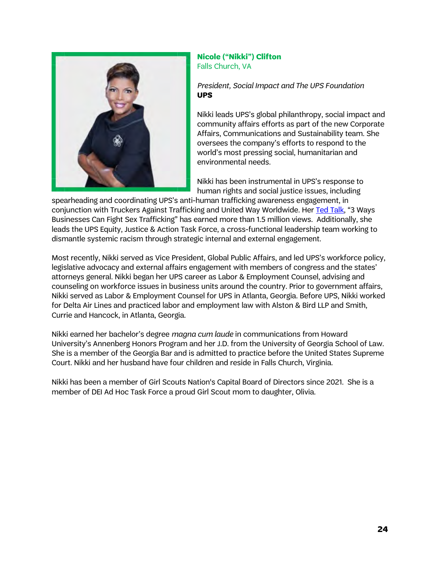

## **Nicole ("Nikki") Clifton** Falls Church, VA

*President, Social Impact and The UPS Foundation* **UPS**

Nikki leads UPS's global philanthropy, social impact and community affairs efforts as part of the new Corporate Affairs, Communications and Sustainability team. She oversees the company's efforts to respond to the world's most pressing social, humanitarian and environmental needs.

Nikki has been instrumental in UPS's response to human rights and social justice issues, including

spearheading and coordinating UPS's anti-human trafficking awareness engagement, in conjunction with Truckers Against Trafficking and United Way Worldwide. Her [Ted Talk,](https://www.ted.com/talks/nikki_clifton_3_ways_businesses_can_fight_sex_trafficking) "3 Ways Businesses Can Fight Sex Trafficking" has earned more than 1.5 million views. Additionally, she leads the UPS Equity, Justice & Action Task Force, a cross-functional leadership team working to dismantle systemic racism through strategic internal and external engagement.

Most recently, Nikki served as Vice President, Global Public Affairs, and led UPS's workforce policy, legislative advocacy and external affairs engagement with members of congress and the states' attorneys general. Nikki began her UPS career as Labor & Employment Counsel, advising and counseling on workforce issues in business units around the country. Prior to government affairs, Nikki served as Labor & Employment Counsel for UPS in Atlanta, Georgia. Before UPS, Nikki worked for Delta Air Lines and practiced labor and employment law with Alston & Bird LLP and Smith, Currie and Hancock, in Atlanta, Georgia.

Nikki earned her bachelor's degree *magna cum laude* in communications from Howard University's Annenberg Honors Program and her J.D. from the University of Georgia School of Law. She is a member of the Georgia Bar and is admitted to practice before the United States Supreme Court. Nikki and her husband have four children and reside in Falls Church, Virginia.

Nikki has been a member of Girl Scouts Nation's Capital Board of Directors since 2021. She is a member of DEI Ad Hoc Task Force a proud Girl Scout mom to daughter, Olivia.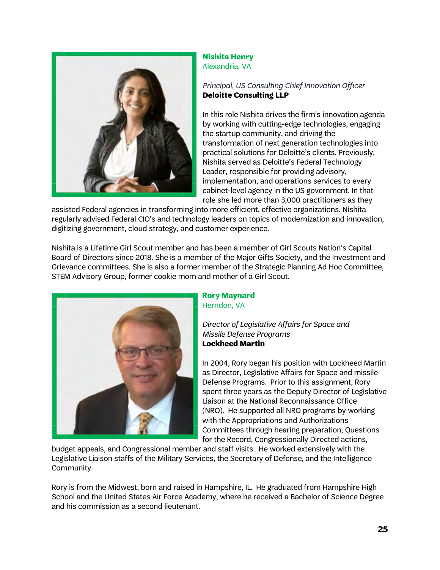

#### **Nishita Henry** Alexandria, VA

## *Principal, US Consulting Chief Innovation Officer* **Deloitte Consulting LLP**

In this role Nishita drives the firm's innovation agenda by working with cutting-edge technologies, engaging the startup community, and driving the transformation of next generation technologies into practical solutions for Deloitte's clients. Previously, Nishita served as Deloitte's Federal Technology Leader, responsible for providing advisory, implementation, and operations services to every cabinet-level agency in the US government. In that role she led more than 3,000 practitioners as they

assisted Federal agencies in transforming into more efficient, effective organizations. Nishita regularly advised Federal CIO's and technology leaders on topics of modernization and innovation, digitizing government, cloud strategy, and customer experience.

Nishita is a Lifetime Girl Scout member and has been a member of Girl Scouts Nation's Capital Board of Directors since 2018. She is a member of the Major Gifts Society, and the Investment and Grievance committees. She is also a former member of the Strategic Planning Ad Hoc Committee, STEM Advisory Group, former cookie mom and mother of a Girl Scout.



## **Rory Maynard** Herndon, VA

*Director of Legislative Affairs for Space and Missile Defense Programs* **Lockheed Martin**

In 2004, Rory began his position with Lockheed Martin as Director, Legislative Affairs for Space and missile Defense Programs. Prior to this assignment, Rory spent three years as the Deputy Director of Legislative Liaison at the National Reconnaissance Office (NRO). He supported all NRO programs by working with the Appropriations and Authorizations Committees through hearing preparation, Questions for the Record, Congressionally Directed actions,

budget appeals, and Congressional member and staff visits. He worked extensively with the Legislative Liaison staffs of the Military Services, the Secretary of Defense, and the Intelligence Community.

Rory is from the Midwest, born and raised in Hampshire, IL. He graduated from Hampshire High School and the United States Air Force Academy, where he received a Bachelor of Science Degree and his commission as a second lieutenant.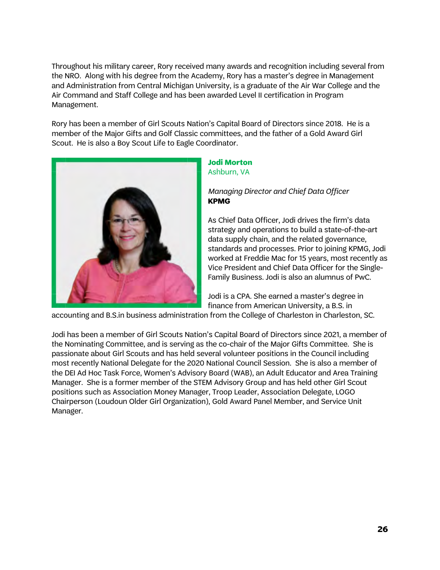Throughout his military career, Rory received many awards and recognition including several from the NRO. Along with his degree from the Academy, Rory has a master's degree in Management and Administration from Central Michigan University, is a graduate of the Air War College and the Air Command and Staff College and has been awarded Level II certification in Program Management.

Rory has been a member of Girl Scouts Nation's Capital Board of Directors since 2018. He is a member of the Major Gifts and Golf Classic committees, and the father of a Gold Award Girl Scout. He is also a Boy Scout Life to Eagle Coordinator.



#### **Jodi Morton** Ashburn, VA

### *Managing Director and Chief Data Officer* **KPMG**

As Chief Data Officer, Jodi drives the firm's data strategy and operations to build a state-of-the-art data supply chain, and the related governance, standards and processes. Prior to joining KPMG, Jodi worked at Freddie Mac for 15 years, most recently as Vice President and Chief Data Officer for the Single-Family Business. Jodi is also an alumnus of PwC.

Jodi is a CPA. She earned a master's degree in finance from American University, a B.S. in

accounting and B.S.in business administration from the College of Charleston in Charleston, SC.

Jodi has been a member of Girl Scouts Nation's Capital Board of Directors since 2021, a member of the Nominating Committee, and is serving as the co-chair of the Major Gifts Committee. She is passionate about Girl Scouts and has held several volunteer positions in the Council including most recently National Delegate for the 2020 National Council Session. She is also a member of the DEI Ad Hoc Task Force, Women's Advisory Board (WAB), an Adult Educator and Area Training Manager. She is a former member of the STEM Advisory Group and has held other Girl Scout positions such as Association Money Manager, Troop Leader, Association Delegate, LOGO Chairperson (Loudoun Older Girl Organization), Gold Award Panel Member, and Service Unit Manager.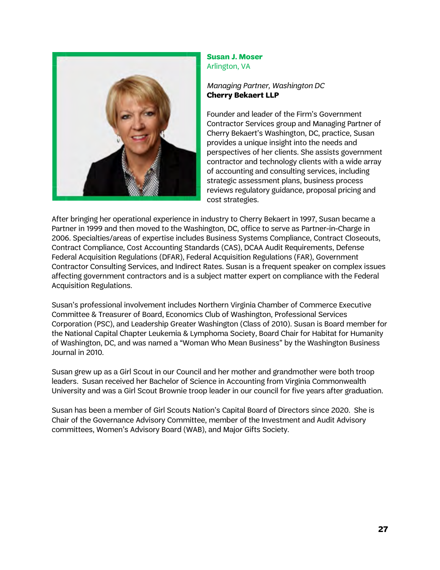

#### **Susan J. Moser** Arlington, VA

*Managing Partner, Washington DC* **Cherry Bekaert LLP**

Founder and leader of the Firm's Government Contractor Services group and Managing Partner of Cherry Bekaert's Washington, DC, practice, Susan provides a unique insight into the needs and perspectives of her clients. She assists government contractor and technology clients with a wide array of accounting and consulting services, including strategic assessment plans, business process reviews regulatory guidance, proposal pricing and cost strategies.

After bringing her operational experience in industry to Cherry Bekaert in 1997, Susan became a Partner in 1999 and then moved to the Washington, DC, office to serve as Partner-in-Charge in 2006. Specialties/areas of expertise includes Business Systems Compliance, Contract Closeouts, Contract Compliance, Cost Accounting Standards (CAS), DCAA Audit Requirements, Defense Federal Acquisition Regulations (DFAR), Federal Acquisition Regulations (FAR), Government Contractor Consulting Services, and Indirect Rates. Susan is a frequent speaker on complex issues affecting government contractors and is a subject matter expert on compliance with the Federal Acquisition Regulations.

Susan's professional involvement includes Northern Virginia Chamber of Commerce Executive Committee & Treasurer of Board, Economics Club of Washington, Professional Services Corporation (PSC), and Leadership Greater Washington (Class of 2010). Susan is Board member for the National Capital Chapter Leukemia & Lymphoma Society, Board Chair for Habitat for Humanity of Washington, DC, and was named a "Woman Who Mean Business" by the Washington Business Journal in 2010.

Susan grew up as a Girl Scout in our Council and her mother and grandmother were both troop leaders. Susan received her Bachelor of Science in Accounting from Virginia Commonwealth University and was a Girl Scout Brownie troop leader in our council for five years after graduation.

Susan has been a member of Girl Scouts Nation's Capital Board of Directors since 2020. She is Chair of the Governance Advisory Committee, member of the Investment and Audit Advisory committees, Women's Advisory Board (WAB), and Major Gifts Society.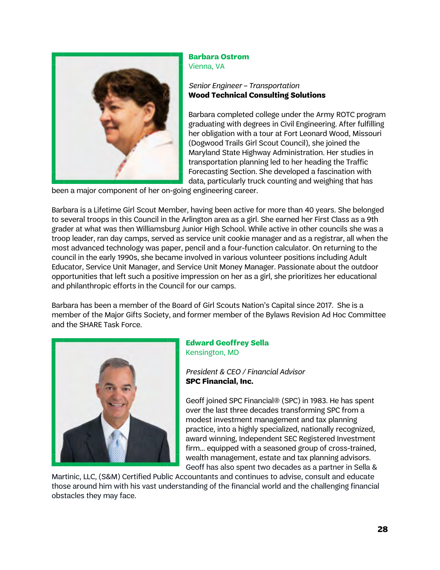

#### **Barbara Ostrom** Vienna, VA

## *Senior Engineer – Transportation* **Wood Technical Consulting Solutions**

Barbara completed college under the Army ROTC program graduating with degrees in Civil Engineering. After fulfilling her obligation with a tour at Fort Leonard Wood, Missouri (Dogwood Trails Girl Scout Council), she joined the Maryland State Highway Administration. Her studies in transportation planning led to her heading the Traffic Forecasting Section. She developed a fascination with data, particularly truck counting and weighing that has

been a major component of her on-going engineering career.

Barbara is a Lifetime Girl Scout Member, having been active for more than 40 years. She belonged to several troops in this Council in the Arlington area as a girl. She earned her First Class as a 9th grader at what was then Williamsburg Junior High School. While active in other councils she was a troop leader, ran day camps, served as service unit cookie manager and as a registrar, all when the most advanced technology was paper, pencil and a four-function calculator. On returning to the council in the early 1990s, she became involved in various volunteer positions including Adult Educator, Service Unit Manager, and Service Unit Money Manager. Passionate about the outdoor opportunities that left such a positive impression on her as a girl, she prioritizes her educational and philanthropic efforts in the Council for our camps.

Barbara has been a member of the Board of Girl Scouts Nation's Capital since 2017. She is a member of the Major Gifts Society, and former member of the Bylaws Revision Ad Hoc Committee and the SHARE Task Force.



## **Edward Geoffrey Sella** Kensington, MD

*President & CEO / Financial Advisor* **SPC Financial, Inc.**

Geoff ioined SPC Financial® (SPC) in 1983. He has spent over the last three decades transforming SPC from a modest investment management and tax planning practice, into a highly specialized, nationally recognized, award winning, Independent SEC Registered Investment firm... equipped with a seasoned group of cross-trained, wealth management, estate and tax planning advisors. Geoff has also spent two decades as a partner in Sella &

Martinic, LLC, (S&M) Certified Public Accountants and continues to advise, consult and educate those around him with his vast understanding of the financial world and the challenging financial obstacles they may face.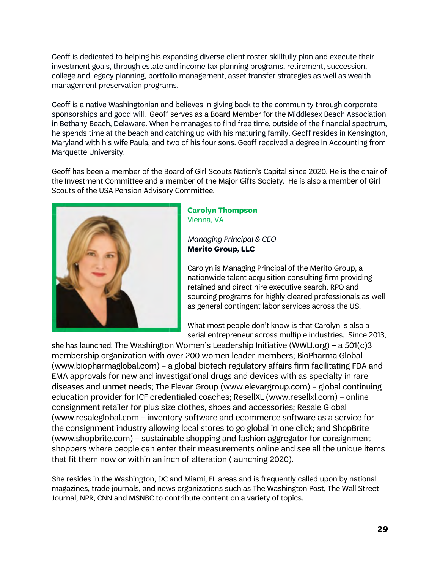Geoff is dedicated to helping his expanding diverse client roster skillfully plan and execute their investment goals, through estate and income tax planning programs, retirement, succession, college and legacy planning, portfolio management, asset transfer strategies as well as wealth management preservation programs.

Geoff is a native Washingtonian and believes in giving back to the community through corporate sponsorships and good will. Geoff serves as a Board Member for the Middlesex Beach Association in Bethany Beach, Delaware. When he manages to find free time, outside of the financial spectrum, he spends time at the beach and catching up with his maturing family. Geoff resides in Kensington, Maryland with his wife Paula, and two of his four sons. Geoff received a degree in Accounting from Marquette University.

Geoff has been a member of the Board of Girl Scouts Nation's Capital since 2020. He is the chair of the Investment Committee and a member of the Major Gifts Society. He is also a member of Girl Scouts of the USA Pension Advisory Committee.



## **Carolyn Thompson** Vienna, VA

*Managing Principal & CEO* **Merito Group, LLC**

Carolyn is Managing Principal of the Merito Group, a nationwide talent acquisition consulting firm providing retained and direct hire executive search, RPO and sourcing programs for highly cleared professionals as well as general contingent labor services across the US.

What most people don't know is that Carolyn is also a serial entrepreneur across multiple industries. Since 2013,

she has launched: The Washington Women's Leadership Initiative (WWLI.org) – a 501(c)3 membership organization with over 200 women leader members; BioPharma Global (www.biopharmaglobal.com) – a global biotech regulatory affairs firm facilitating FDA and EMA approvals for new and investigational drugs and devices with as specialty in rare diseases and unmet needs; The Elevar Group (www.elevargroup.com) – global continuing education provider for ICF credentialed coaches; ResellXL (www.resellxl.com) – online consignment retailer for plus size clothes, shoes and accessories; Resale Global (www.resaleglobal.com – inventory software and ecommerce software as a service for the consignment industry allowing local stores to go global in one click; and ShopBrite (www.shopbrite.com) – sustainable shopping and fashion aggregator for consignment shoppers where people can enter their measurements online and see all the unique items that fit them now or within an inch of alteration (launching 2020).

She resides in the Washington, DC and Miami, FL areas and is frequently called upon by national magazines, trade journals, and news organizations such as The Washington Post, The Wall Street Journal, NPR, CNN and MSNBC to contribute content on a variety of topics.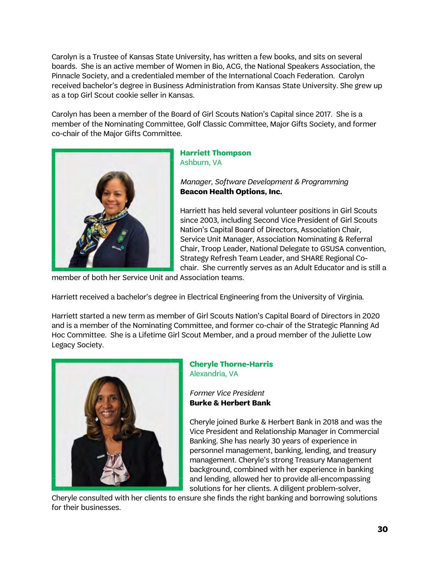Carolyn is a Trustee of Kansas State University, has written a few books, and sits on several boards. She is an active member of Women in Bio, ACG, the National Speakers Association, the Pinnacle Society, and a credentialed member of the International Coach Federation. Carolyn received bachelor's degree in Business Administration from Kansas State University. She grew up as a top Girl Scout cookie seller in Kansas.

Carolyn has been a member of the Board of Girl Scouts Nation's Capital since 2017. She is a member of the Nominating Committee, Golf Classic Committee, Major Gifts Society, and former co-chair of the Major Gifts Committee.



## **Harriett Thompson** Ashburn, VA

*Manager, Software Development & Programming* **Beacon Health Options, Inc.**

Harriett has held several volunteer positions in Girl Scouts since 2003, including Second Vice President of Girl Scouts Nation's Capital Board of Directors, Association Chair, Service Unit Manager, Association Nominating & Referral Chair, Troop Leader, National Delegate to GSUSA convention, Strategy Refresh Team Leader, and SHARE Regional Cochair. She currently serves as an Adult Educator and is still a

member of both her Service Unit and Association teams.

Harriett received a bachelor's degree in Electrical Engineering from the University of Virginia.

Harriett started a new term as member of Girl Scouts Nation's Capital Board of Directors in 2020 and is a member of the Nominating Committee, and former co-chair of the Strategic Planning Ad Hoc Committee. She is a Lifetime Girl Scout Member, and a proud member of the Juliette Low Legacy Society.



### **Cheryle Thorne-Harris** Alexandria, VA

*Former Vice President* **Burke & Herbert Bank**

Cheryle joined Burke & Herbert Bank in 2018 and was the Vice President and Relationship Manager in Commercial Banking. She has nearly 30 years of experience in personnel management, banking, lending, and treasury management. Cheryle's strong Treasury Management background, combined with her experience in banking and lending, allowed her to provide all-encompassing solutions for her clients. A diligent problem-solver,

Cheryle consulted with her clients to ensure she finds the right banking and borrowing solutions for their businesses.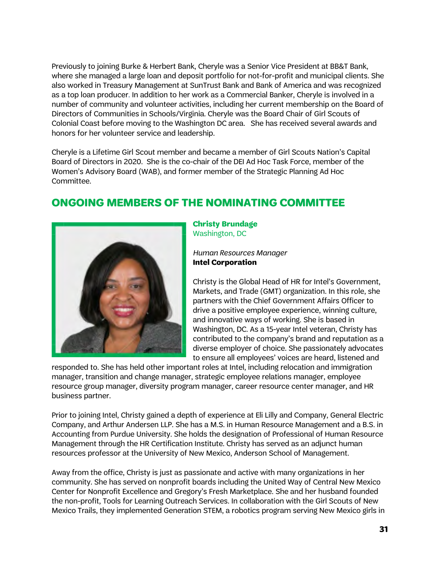Previously to joining Burke & Herbert Bank, Cheryle was a Senior Vice President at BB&T Bank, where she managed a large loan and deposit portfolio for not-for-profit and municipal clients. She also worked in Treasury Management at SunTrust Bank and Bank of America and was recognized as a top loan producer. In addition to her work as a Commercial Banker, Cheryle is involved in a number of community and volunteer activities, including her current membership on the Board of Directors of Communities in Schools/Virginia. Cheryle was the Board Chair of Girl Scouts of Colonial Coast before moving to the Washington DC area.   She has received several awards and honors for her volunteer service and leadership.

Cheryle is a Lifetime Girl Scout member and became a member of Girl Scouts Nation's Capital Board of Directors in 2020. She is the co-chair of the DEI Ad Hoc Task Force, member of the Women's Advisory Board (WAB), and former member of the Strategic Planning Ad Hoc Committee.

# **ONGOING MEMBERS OF THE NOMINATING COMMITTEE**



**Christy Brundage** Washington, DC

*Human Resources Manager* **Intel Corporation**

Christy is the Global Head of HR for Intel's Government, Markets, and Trade (GMT) organization. In this role, she partners with the Chief Government Affairs Officer to drive a positive employee experience, winning culture, and innovative ways of working. She is based in Washington, DC. As a 15-year Intel veteran, Christy has contributed to the company's brand and reputation as a diverse employer of choice. She passionately advocates to ensure all employees' voices are heard, listened and

responded to. She has held other important roles at Intel, including relocation and immigration manager, transition and change manager, strategic employee relations manager, employee resource group manager, diversity program manager, career resource center manager, and HR business partner.

Prior to joining Intel, Christy gained a depth of experience at Eli Lilly and Company, General Electric Company, and Arthur Andersen LLP. She has a M.S. in Human Resource Management and a B.S. in Accounting from Purdue University. She holds the designation of Professional of Human Resource Management through the HR Certification Institute. Christy has served as an adjunct human resources professor at the University of New Mexico, Anderson School of Management.

Away from the office, Christy is just as passionate and active with many organizations in her community. She has served on nonprofit boards including the United Way of Central New Mexico Center for Nonprofit Excellence and Gregory's Fresh Marketplace. She and her husband founded the non-profit, Tools for Learning Outreach Services. In collaboration with the Girl Scouts of New Mexico Trails, they implemented Generation STEM, a robotics program serving New Mexico girls in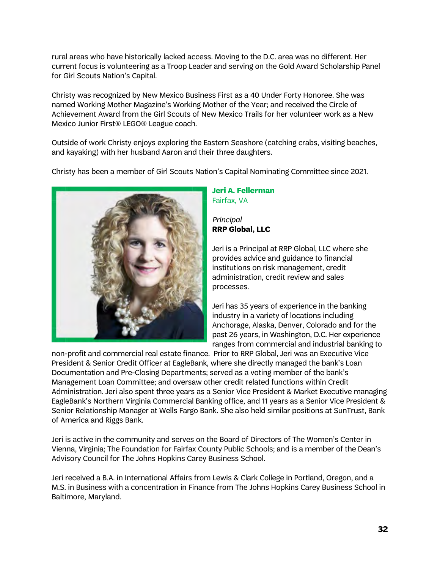rural areas who have historically lacked access. Moving to the D.C. area was no different. Her current focus is volunteering as a Troop Leader and serving on the Gold Award Scholarship Panel for Girl Scouts Nation's Capital.

Christy was recognized by New Mexico Business First as a 40 Under Forty Honoree. She was named Working Mother Magazine's Working Mother of the Year; and received the Circle of Achievement Award from the Girl Scouts of New Mexico Trails for her volunteer work as a New Mexico Junior First® LEGO® League coach.

Outside of work Christy enjoys exploring the Eastern Seashore (catching crabs, visiting beaches, and kayaking) with her husband Aaron and their three daughters.

Christy has been a member of Girl Scouts Nation's Capital Nominating Committee since 2021.



## **Jeri A. Fellerman** Fairfax, VA

*Principal* **RRP Global, LLC**

Jeri is a Principal at RRP Global, LLC where she provides advice and guidance to financial institutions on risk management, credit administration, credit review and sales processes.

Jeri has 35 years of experience in the banking industry in a variety of locations including Anchorage, Alaska, Denver, Colorado and for the past 26 years, in Washington, D.C. Her experience ranges from commercial and industrial banking to

non-profit and commercial real estate finance. Prior to RRP Global, Jeri was an Executive Vice President & Senior Credit Officer at EagleBank, where she directly managed the bank's Loan Documentation and Pre-Closing Departments; served as a voting member of the bank's Management Loan Committee; and oversaw other credit related functions within Credit Administration. Jeri also spent three years as a Senior Vice President & Market Executive managing EagleBank's Northern Virginia Commercial Banking office, and 11 years as a Senior Vice President & Senior Relationship Manager at Wells Fargo Bank. She also held similar positions at SunTrust, Bank of America and Riggs Bank.

Jeri is active in the community and serves on the Board of Directors of The Women's Center in Vienna, Virginia; The Foundation for Fairfax County Public Schools; and is a member of the Dean's Advisory Council for The Johns Hopkins Carey Business School.

Jeri received a B.A. in International Affairs from Lewis & Clark College in Portland, Oregon, and a M.S. in Business with a concentration in Finance from The Johns Hopkins Carey Business School in Baltimore, Maryland.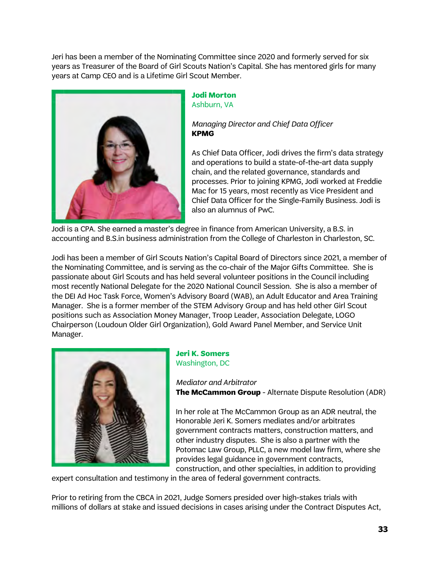Jeri has been a member of the Nominating Committee since 2020 and formerly served for six years as Treasurer of the Board of Girl Scouts Nation's Capital. She has mentored girls for many years at Camp CEO and is a Lifetime Girl Scout Member.



#### **Jodi Morton** Ashburn, VA

## *Managing Director and Chief Data Officer* **KPMG**

As Chief Data Officer, Jodi drives the firm's data strategy and operations to build a state-of-the-art data supply chain, and the related governance, standards and processes. Prior to joining KPMG, Jodi worked at Freddie Mac for 15 years, most recently as Vice President and Chief Data Officer for the Single-Family Business. Jodi is also an alumnus of PwC.

Jodi is a CPA. She earned a master's degree in finance from American University, a B.S. in accounting and B.S.in business administration from the College of Charleston in Charleston, SC.

Jodi has been a member of Girl Scouts Nation's Capital Board of Directors since 2021, a member of the Nominating Committee, and is serving as the co-chair of the Major Gifts Committee. She is passionate about Girl Scouts and has held several volunteer positions in the Council including most recently National Delegate for the 2020 National Council Session. She is also a member of the DEI Ad Hoc Task Force, Women's Advisory Board (WAB), an Adult Educator and Area Training Manager. She is a former member of the STEM Advisory Group and has held other Girl Scout positions such as Association Money Manager, Troop Leader, Association Delegate, LOGO Chairperson (Loudoun Older Girl Organization), Gold Award Panel Member, and Service Unit Manager.



### **Jeri K. Somers** Washington, DC

*Mediator and Arbitrator* **The McCammon Group** - Alternate Dispute Resolution (ADR)

In her role at The McCammon Group as an ADR neutral, the Honorable Jeri K. Somers mediates and/or arbitrates government contracts matters, construction matters, and other industry disputes. She is also a partner with the Potomac Law Group, PLLC, a new model law firm, where she provides legal guidance in government contracts, construction, and other specialties, in addition to providing

expert consultation and testimony in the area of federal government contracts.

Prior to retiring from the CBCA in 2021, Judge Somers presided over high-stakes trials with millions of dollars at stake and issued decisions in cases arising under the Contract Disputes Act,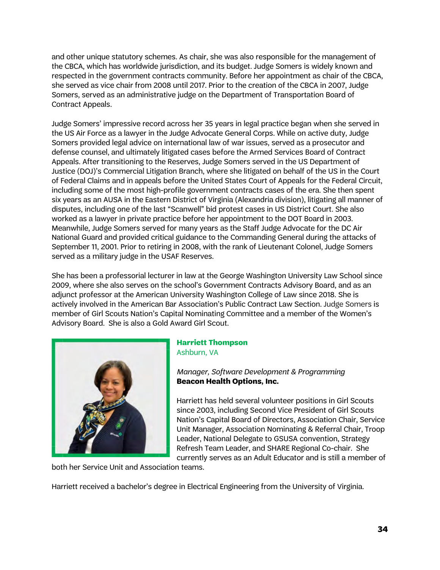and other unique statutory schemes. As chair, she was also responsible for the management of the CBCA, which has worldwide jurisdiction, and its budget. Judge Somers is widely known and respected in the government contracts community. Before her appointment as chair of the CBCA, she served as vice chair from 2008 until 2017. Prior to the creation of the CBCA in 2007, Judge Somers, served as an administrative judge on the Department of Transportation Board of Contract Appeals.

Judge Somers' impressive record across her 35 years in legal practice began when she served in the US Air Force as a lawyer in the Judge Advocate General Corps. While on active duty, Judge Somers provided legal advice on international law of war issues, served as a prosecutor and defense counsel, and ultimately litigated cases before the Armed Services Board of Contract Appeals. After transitioning to the Reserves, Judge Somers served in the US Department of Justice (DOJ)'s Commercial Litigation Branch, where she litigated on behalf of the US in the Court of Federal Claims and in appeals before the United States Court of Appeals for the Federal Circuit, including some of the most high-profile government contracts cases of the era. She then spent six years as an AUSA in the Eastern District of Virginia (Alexandria division), litigating all manner of disputes, including one of the last "Scanwell" bid protest cases in US District Court. She also worked as a lawyer in private practice before her appointment to the DOT Board in 2003. Meanwhile, Judge Somers served for many years as the Staff Judge Advocate for the DC Air National Guard and provided critical guidance to the Commanding General during the attacks of September 11, 2001. Prior to retiring in 2008, with the rank of Lieutenant Colonel, Judge Somers served as a military judge in the USAF Reserves.

She has been a professorial lecturer in law at the George Washington University Law School since 2009, where she also serves on the school's Government Contracts Advisory Board, and as an adjunct professor at the American University Washington College of Law since 2018. She is actively involved in the American Bar Association's Public Contract Law Section. Judge Somers is member of Girl Scouts Nation's Capital Nominating Committee and a member of the Women's Advisory Board. She is also a Gold Award Girl Scout.



## **Harriett Thompson** Ashburn, VA

*Manager, Software Development & Programming* **Beacon Health Options, Inc.**

Harriett has held several volunteer positions in Girl Scouts since 2003, including Second Vice President of Girl Scouts Nation's Capital Board of Directors, Association Chair, Service Unit Manager, Association Nominating & Referral Chair, Troop Leader, National Delegate to GSUSA convention, Strategy Refresh Team Leader, and SHARE Regional Co-chair. She currently serves as an Adult Educator and is still a member of

both her Service Unit and Association teams.

Harriett received a bachelor's degree in Electrical Engineering from the University of Virginia.